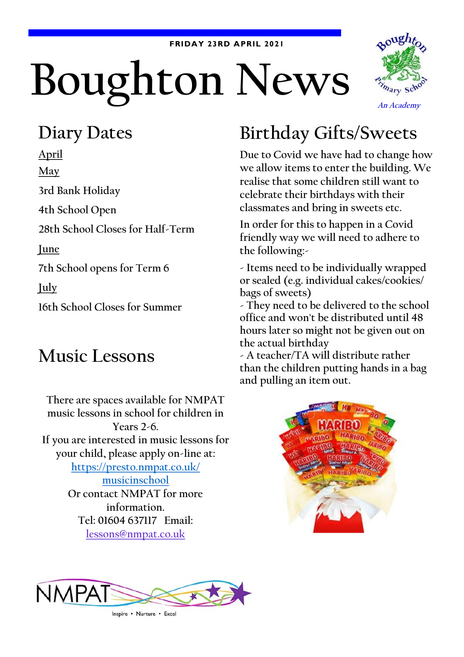#### **FRIDAY 23RD APRIL 2021**

# Boughton News



#### **Diary Dates**

**April May 3rd Bank Holiday 4th School Open 28th School Closes for Half-Term June 7th School opens for Term 6 July 16th School Closes for Summer**

#### **Music Lessons**

**There are spaces available for NMPAT music lessons in school for children in Years 2-6. If you are interested in music lessons for your child, please apply on-line at: [https://presto.nmpat.co.uk/](https://presto.nmpat.co.uk/musicinschool) [musicinschool](https://presto.nmpat.co.uk/musicinschool) Or contact NMPAT for more information. Tel: 01604 637117 Email: [lessons@nmpat.co.uk](mailto:lessons@nmpat.co.uk)**

## **Birthday Gifts/Sweets**

**Due to Covid we have had to change how we allow items to enter the building. We realise that some children still want to celebrate their birthdays with their classmates and bring in sweets etc.**

**In order for this to happen in a Covid friendly way we will need to adhere to the following:-**

**- Items need to be individually wrapped or sealed (e.g. individual cakes/cookies/ bags of sweets)**

**- They need to be delivered to the school office and won't be distributed until 48 hours later so might not be given out on the actual birthday**

**- A teacher/TA will distribute rather than the children putting hands in a bag and pulling an item out.**